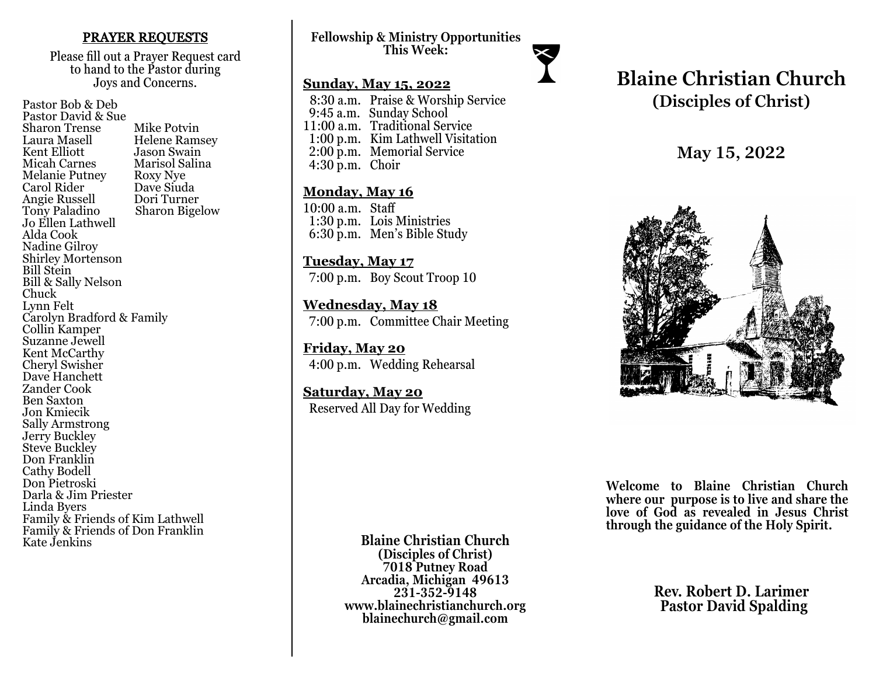#### PRAYER REQUESTS

Please fill out a Prayer Request card to hand to the Pastor during Joys and Concerns.

Pastor Bob & Deb Pastor David & Sue Sharon Trense Mike Potvin<br>Laura Masell Helene Ram Laura Masell Helene Ramsey<br>Kent Elliott Hason Swain Kent Elliott Jason Swain<br>
Micah Carnes Marisol Salir Marisol Salina<br>Roxy Nye Melanie Putney Roxy Nye<br>Carol Rider Dave Siuda Carol Rider Dave Siuda<br>
Angie Russell Dori Turner Angie Russell<br>Tony Paladino Sharon Bigelow Jo Ellen Lathwell Alda Cook Nadine Gilroy Shirley Mortenson Bill Stein Bill & Sally Nelson Chuck Lynn Felt Carolyn Bradford & Family Collin Kamper Suzanne Jewell Kent McCarthy Cheryl Swisher Dave Hanchett Zander Cook Ben Saxton Jon Kmiecik Sally Armstrong Jerry Buckley Steve Buckley Don Franklin Cathy Bodell Don Pietroski Darla & Jim Priester Linda Byers Family & Friends of Kim Lathwell Family & Friends of Don Franklin Kate Jenkins

**Fellowship & Ministry Opportunities This Week:**

#### **Sunday, May 15, 2022**

 8:30 a.m. Praise & Worship Service 9:45 a.m. Sunday School 11:00 a.m. Traditional Service 1:00 p.m. Kim Lathwell Visitation 2:00 p.m. Memorial Service 4:30 p.m. Choir

#### **Monday, May 16**

10:00 a.m. Staff 1:30 p.m. Lois Ministries 6:30 p.m. Men's Bible Study

**Tuesday, May 17** 7:00 p.m. Boy Scout Troop 10

**Wednesday, May 18** 7:00 p.m. Committee Chair Meeting

**Friday, May 20** 4:00 p.m. Wedding Rehearsal

**Saturday, May 20** Reserved All Day for Wedding

# **Blaine Christian Church (Disciples of Christ)**

**May 15, 2022**



**Welcome to Blaine Christian Church where our purpose is to live and share the love of God as revealed in Jesus Christ through the guidance of the Holy Spirit.**

> **Rev. Robert D. Larimer Pastor David Spalding**

**Blaine Christian Church (Disciples of Christ) 7018 Putney Road Arcadia, Michigan 49613 231-352-9148 www.blainechristianchurch.org blainechurch@gmail.com**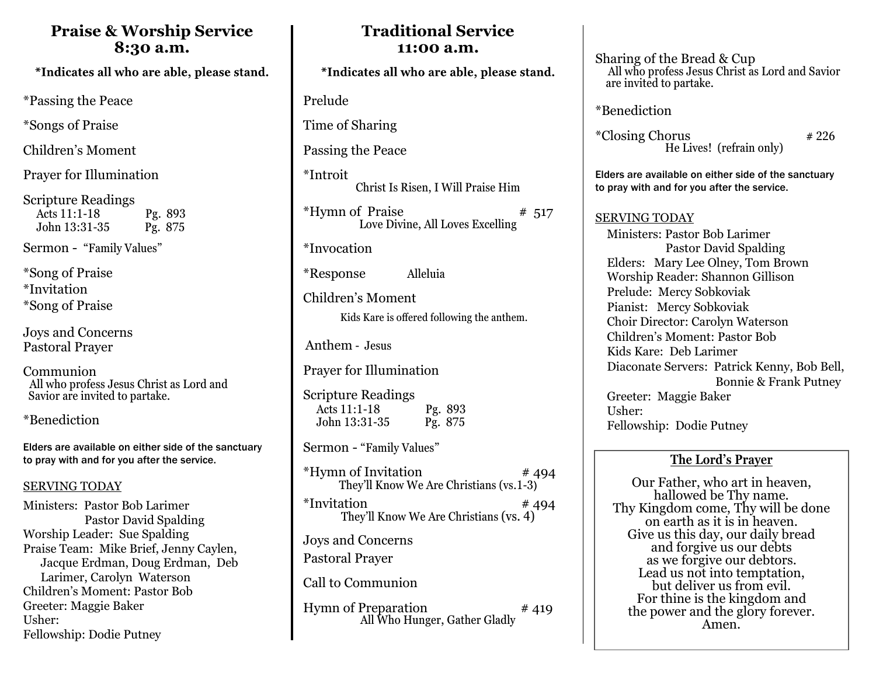### **Praise & Worship Service 8:30 a.m.**

\*Indicates all who are able, please stand.

\*Passing the Peace

\*Songs of Praise

Children's Moment

Prayer for Illumination

Scripture Readings Acts 11:1-18 Pg. 893<br>John 13:31-35 Pg. 875 John 13:31-35

Sermon - "Family Values"

\*Song of Praise \*Invitation \*Song of Praise

Joys and Concerns Pastoral Prayer

Communion All who profess Jesus Christ as Lord and Savior are invited to partake.

\*Benediction

Elders are available on either side of the sanctuary to pray with and for you after the service.

#### SERVING TODAY

Ministers: Pastor Bob Larimer Pastor David Spalding Worship Leader: Sue Spalding Praise Team: Mike Brief, Jenny Caylen, Jacque Erdman, Doug Erdman, Deb Larimer, Carolyn Waterson Children's Moment: Pastor Bob Greeter: Maggie Baker Usher: Fellowship: Dodie Putney

## **Traditional Service 11:00 a.m.**

\*Indicates all who are able, please stand.

Prelude

Time of Sharing

Passing the Peace

\*Introit Christ Is Risen, I Will Praise Him

 $***H**ymn of Praise$  # 517 Love Divine, All Loves Excelling

\*Invocation

\*Response Alleluia

Children's Moment

Kids Kare is offered following the anthem.

Anthem - Jesus

Prayer for Illumination

Scripture Readings Acts 11:1-18 Pg. 893 John 13:31-35 Pg. 875

Sermon - "Family Values"

| <i>*</i> Hymn of Invitation<br>They'll Know We Are Christians (vs.1-3) | #494  |
|------------------------------------------------------------------------|-------|
| <i>*Invitation</i><br>They'll Know We Are Christians (vs. 4)           | # 494 |
| <b>Joys and Concerns</b><br><b>Pastoral Prayer</b>                     |       |
| Call to Communion                                                      |       |
| <b>Hymn of Preparation</b><br>All Who Hunger, Gather Gladly            | #419  |

Sharing of the Bread & Cup All who profess Jesus Christ as Lord and Savior are invited to partake.

\*Benediction

 $*Closing Chorus$   $*226$ He Lives! (refrain only)

Elders are available on either side of the sanctuary to pray with and for you after the service.

#### SERVING TODAY

 Ministers: Pastor Bob Larimer Pastor David Spalding Elders: Mary Lee Olney, Tom Brown Worship Reader: Shannon Gillison Prelude: Mercy Sobkoviak Pianist: Mercy Sobkoviak Choir Director: Carolyn Waterson Children's Moment: Pastor Bob Kids Kare: Deb Larimer Diaconate Servers: Patrick Kenny, Bob Bell, Bonnie & Frank Putney Greeter: Maggie Baker Usher: Fellowship: Dodie Putney

### **The Lord's Prayer**

Our Father, who art in heaven, hallowed be Thy name. Thy Kingdom come, Thy will be done on earth as it is in heaven. Give us this day, our daily bread and forgive us our debts as we forgive our debtors. Lead us not into temptation, but deliver us from evil. For thine is the kingdom and the power and the glory forever. Amen.